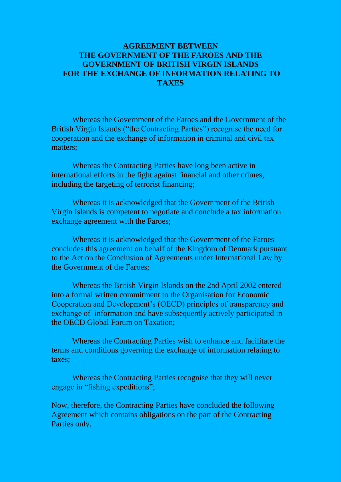# **AGREEMENT BETWEEN THE GOVERNMENT OF THE FAROES AND THE GOVERNMENT OF BRITISH VIRGIN ISLANDS FOR THE EXCHANGE OF INFORMATION RELATING TO TAXES**

Whereas the Government of the Faroes and the Government of the British Virgin Islands ("the Contracting Parties") recognise the need for cooperation and the exchange of information in criminal and civil tax matters;

Whereas the Contracting Parties have long been active in international efforts in the fight against financial and other crimes, including the targeting of terrorist financing;

Whereas it is acknowledged that the Government of the British Virgin Islands is competent to negotiate and conclude a tax information exchange agreement with the Faroes;

Whereas it is acknowledged that the Government of the Faroes concludes this agreement on behalf of the Kingdom of Denmark pursuant to the Act on the Conclusion of Agreements under International Law by the Government of the Faroes;

Whereas the British Virgin Islands on the 2nd April 2002 entered into a formal written commitment to the Organisation for Economic Cooperation and Development's (OECD) principles of transparency and exchange of information and have subsequently actively participated in the OECD Global Forum on Taxation;

Whereas the Contracting Parties wish to enhance and facilitate the terms and conditions governing the exchange of information relating to taxes;

Whereas the Contracting Parties recognise that they will never engage in "fishing expeditions";

Now, therefore, the Contracting Parties have concluded the following Agreement which contains obligations on the part of the Contracting Parties only.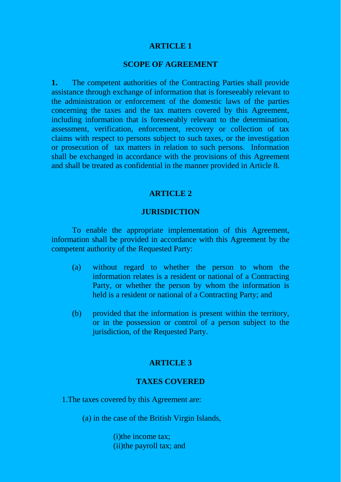#### **SCOPE OF AGREEMENT**

**1.** The competent authorities of the Contracting Parties shall provide assistance through exchange of information that is foreseeably relevant to the administration or enforcement of the domestic laws of the parties concerning the taxes and the tax matters covered by this Agreement, including information that is foreseeably relevant to the determination, assessment, verification, enforcement, recovery or collection of tax claims with respect to persons subject to such taxes, or the investigation or prosecution of tax matters in relation to such persons. Information shall be exchanged in accordance with the provisions of this Agreement and shall be treated as confidential in the manner provided in Article 8.

#### **ARTICLE 2**

#### **JURISDICTION**

To enable the appropriate implementation of this Agreement, information shall be provided in accordance with this Agreement by the competent authority of the Requested Party:

- (a) without regard to whether the person to whom the information relates is a resident or national of a Contracting Party, or whether the person by whom the information is held is a resident or national of a Contracting Party; and
- (b) provided that the information is present within the territory, or in the possession or control of a person subject to the jurisdiction, of the Requested Party.

## **ARTICLE 3**

#### **TAXES COVERED**

1.The taxes covered by this Agreement are:

(a) in the case of the British Virgin Islands,

(i)the income tax; (ii)the payroll tax; and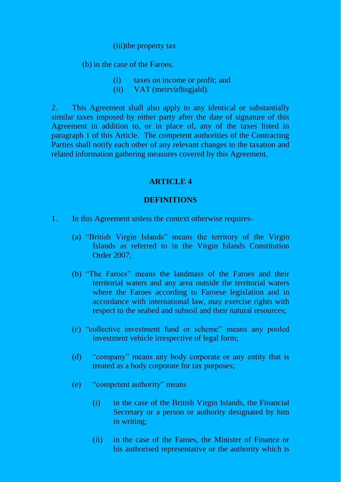#### (iii)the property tax

(b) in the case of the Faroes,

- (i) taxes on income or profit; and
- (ii) VAT (meirvirðisgjald).

2. This Agreement shall also apply to any identical or substantially similar taxes imposed by either party after the date of signature of this Agreement in addition to, or in place of, any of the taxes listed in paragraph 1 of this Article. The competent authorities of the Contracting Parties shall notify each other of any relevant changes to the taxation and related information gathering measures covered by this Agreement.

# **ARTICLE 4**

#### **DEFINITIONS**

- 1. In this Agreement unless the context otherwise requires-
	- (a) "British Virgin Islands" means the territory of the Virgin Islands as referred to in the Virgin Islands Constitution Order 2007;
	- (b) "The Faroes" means the landmass of the Faroes and their territorial waters and any area outside the territorial waters where the Faroes according to Faroese legislation and in accordance with international law, may exercise rights with respect to the seabed and subsoil and their natural resources;
	- (c) "collective investment fund or scheme" means any pooled investment vehicle irrespective of legal form;
	- (d) "company" means any body corporate or any entity that is treated as a body corporate for tax purposes;
	- (e) "competent authority" means
		- (i) in the case of the British Virgin Islands, the Financial Secretary or a person or authority designated by him in writing;
		- (ii) in the case of the Faroes, the Minister of Finance or his authorised representative or the authority which is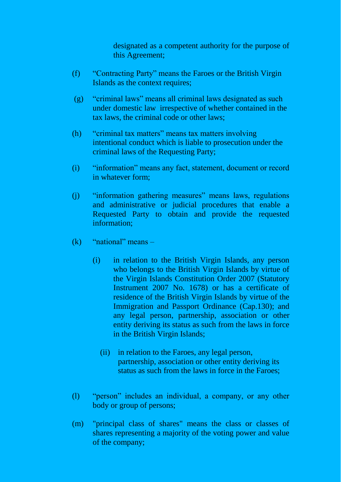designated as a competent authority for the purpose of this Agreement;

- (f) "Contracting Party" means the Faroes or the British Virgin Islands as the context requires;
- (g) "criminal laws" means all criminal laws designated as such under domestic law irrespective of whether contained in the tax laws, the criminal code or other laws;
- (h) "criminal tax matters" means tax matters involving intentional conduct which is liable to prosecution under the criminal laws of the Requesting Party;
- (i) "information" means any fact, statement, document or record in whatever form;
- (j) "information gathering measures" means laws, regulations and administrative or judicial procedures that enable a Requested Party to obtain and provide the requested information;
- $(k)$  "national" means
	- (i) in relation to the British Virgin Islands, any person who belongs to the British Virgin Islands by virtue of the Virgin Islands Constitution Order 2007 (Statutory Instrument 2007 No. 1678) or has a certificate of residence of the British Virgin Islands by virtue of the Immigration and Passport Ordinance (Cap.130); and any legal person, partnership, association or other entity deriving its status as such from the laws in force in the British Virgin Islands;
		- (ii) in relation to the Faroes, any legal person, partnership, association or other entity deriving its status as such from the laws in force in the Faroes;
- (l) "person" includes an individual, a company, or any other body or group of persons;
- (m) "principal class of shares" means the class or classes of shares representing a majority of the voting power and value of the company;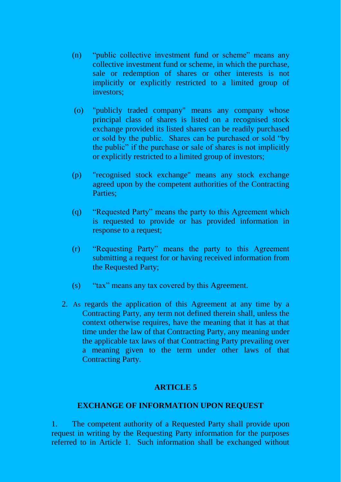- (n) "public collective investment fund or scheme" means any collective investment fund or scheme, in which the purchase, sale or redemption of shares or other interests is not implicitly or explicitly restricted to a limited group of investors;
- (o) "publicly traded company" means any company whose principal class of shares is listed on a recognised stock exchange provided its listed shares can be readily purchased or sold by the public. Shares can be purchased or sold "by the public" if the purchase or sale of shares is not implicitly or explicitly restricted to a limited group of investors;
- (p) "recognised stock exchange" means any stock exchange agreed upon by the competent authorities of the Contracting Parties;
- (q) "Requested Party" means the party to this Agreement which is requested to provide or has provided information in response to a request;
- (r) "Requesting Party" means the party to this Agreement submitting a request for or having received information from the Requested Party;
- (s) "tax" means any tax covered by this Agreement.
- 2. As regards the application of this Agreement at any time by a Contracting Party, any term not defined therein shall, unless the context otherwise requires, have the meaning that it has at that time under the law of that Contracting Party, any meaning under the applicable tax laws of that Contracting Party prevailing over a meaning given to the term under other laws of that Contracting Party.

## **EXCHANGE OF INFORMATION UPON REQUEST**

1. The competent authority of a Requested Party shall provide upon request in writing by the Requesting Party information for the purposes referred to in Article 1. Such information shall be exchanged without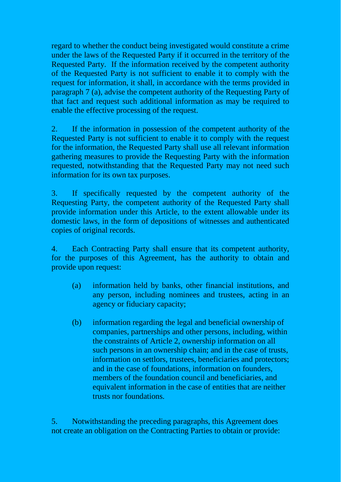regard to whether the conduct being investigated would constitute a crime under the laws of the Requested Party if it occurred in the territory of the Requested Party. If the information received by the competent authority of the Requested Party is not sufficient to enable it to comply with the request for information, it shall, in accordance with the terms provided in paragraph 7 (a), advise the competent authority of the Requesting Party of that fact and request such additional information as may be required to enable the effective processing of the request.

2. If the information in possession of the competent authority of the Requested Party is not sufficient to enable it to comply with the request for the information, the Requested Party shall use all relevant information gathering measures to provide the Requesting Party with the information requested, notwithstanding that the Requested Party may not need such information for its own tax purposes.

3. If specifically requested by the competent authority of the Requesting Party, the competent authority of the Requested Party shall provide information under this Article, to the extent allowable under its domestic laws, in the form of depositions of witnesses and authenticated copies of original records.

4. Each Contracting Party shall ensure that its competent authority, for the purposes of this Agreement, has the authority to obtain and provide upon request:

- (a) information held by banks, other financial institutions, and any person, including nominees and trustees, acting in an agency or fiduciary capacity;
- (b) information regarding the legal and beneficial ownership of companies, partnerships and other persons, including, within the constraints of Article 2, ownership information on all such persons in an ownership chain; and in the case of trusts, information on settlors, trustees, beneficiaries and protectors; and in the case of foundations, information on founders, members of the foundation council and beneficiaries, and equivalent information in the case of entities that are neither trusts nor foundations.

5. Notwithstanding the preceding paragraphs, this Agreement does not create an obligation on the Contracting Parties to obtain or provide: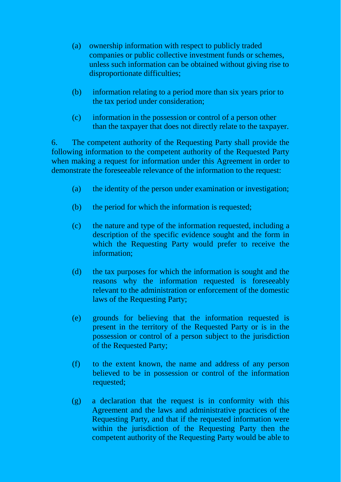- (a) ownership information with respect to publicly traded companies or public collective investment funds or schemes, unless such information can be obtained without giving rise to disproportionate difficulties;
- (b) information relating to a period more than six years prior to the tax period under consideration;
- (c) information in the possession or control of a person other than the taxpayer that does not directly relate to the taxpayer.

6. The competent authority of the Requesting Party shall provide the following information to the competent authority of the Requested Party when making a request for information under this Agreement in order to demonstrate the foreseeable relevance of the information to the request:

- (a) the identity of the person under examination or investigation;
- (b) the period for which the information is requested;
- (c) the nature and type of the information requested, including a description of the specific evidence sought and the form in which the Requesting Party would prefer to receive the information;
- (d) the tax purposes for which the information is sought and the reasons why the information requested is foreseeably relevant to the administration or enforcement of the domestic laws of the Requesting Party;
- (e) grounds for believing that the information requested is present in the territory of the Requested Party or is in the possession or control of a person subject to the jurisdiction of the Requested Party;
- (f) to the extent known, the name and address of any person believed to be in possession or control of the information requested;
- (g) a declaration that the request is in conformity with this Agreement and the laws and administrative practices of the Requesting Party, and that if the requested information were within the jurisdiction of the Requesting Party then the competent authority of the Requesting Party would be able to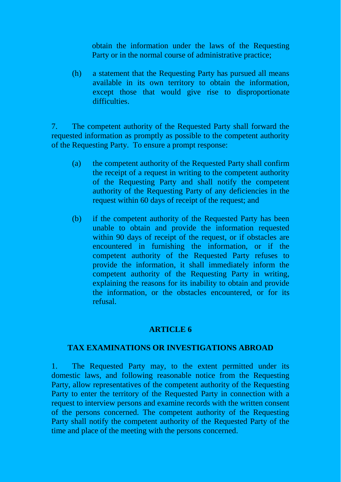obtain the information under the laws of the Requesting Party or in the normal course of administrative practice;

(h) a statement that the Requesting Party has pursued all means available in its own territory to obtain the information, except those that would give rise to disproportionate difficulties.

7. The competent authority of the Requested Party shall forward the requested information as promptly as possible to the competent authority of the Requesting Party. To ensure a prompt response:

- (a) the competent authority of the Requested Party shall confirm the receipt of a request in writing to the competent authority of the Requesting Party and shall notify the competent authority of the Requesting Party of any deficiencies in the request within 60 days of receipt of the request; and
- (b) if the competent authority of the Requested Party has been unable to obtain and provide the information requested within 90 days of receipt of the request, or if obstacles are encountered in furnishing the information, or if the competent authority of the Requested Party refuses to provide the information, it shall immediately inform the competent authority of the Requesting Party in writing, explaining the reasons for its inability to obtain and provide the information, or the obstacles encountered, or for its refusal.

## **ARTICLE 6**

## **TAX EXAMINATIONS OR INVESTIGATIONS ABROAD**

1. The Requested Party may, to the extent permitted under its domestic laws, and following reasonable notice from the Requesting Party, allow representatives of the competent authority of the Requesting Party to enter the territory of the Requested Party in connection with a request to interview persons and examine records with the written consent of the persons concerned. The competent authority of the Requesting Party shall notify the competent authority of the Requested Party of the time and place of the meeting with the persons concerned.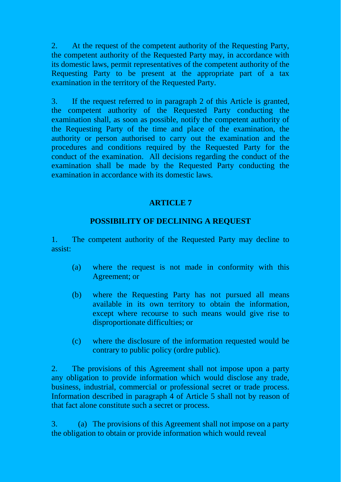2. At the request of the competent authority of the Requesting Party, the competent authority of the Requested Party may, in accordance with its domestic laws, permit representatives of the competent authority of the Requesting Party to be present at the appropriate part of a tax examination in the territory of the Requested Party.

3. If the request referred to in paragraph 2 of this Article is granted, the competent authority of the Requested Party conducting the examination shall, as soon as possible, notify the competent authority of the Requesting Party of the time and place of the examination, the authority or person authorised to carry out the examination and the procedures and conditions required by the Requested Party for the conduct of the examination. All decisions regarding the conduct of the examination shall be made by the Requested Party conducting the examination in accordance with its domestic laws.

# **ARTICLE 7**

# **POSSIBILITY OF DECLINING A REQUEST**

1. The competent authority of the Requested Party may decline to assist:

- (a) where the request is not made in conformity with this Agreement; or
- (b) where the Requesting Party has not pursued all means available in its own territory to obtain the information, except where recourse to such means would give rise to disproportionate difficulties; or
- (c) where the disclosure of the information requested would be contrary to public policy (ordre public).

2. The provisions of this Agreement shall not impose upon a party any obligation to provide information which would disclose any trade, business, industrial, commercial or professional secret or trade process. Information described in paragraph 4 of Article 5 shall not by reason of that fact alone constitute such a secret or process.

3. (a) The provisions of this Agreement shall not impose on a party the obligation to obtain or provide information which would reveal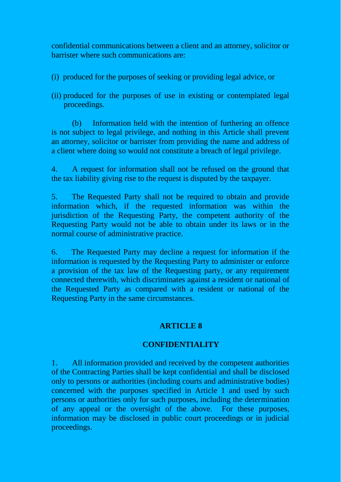confidential communications between a client and an attorney, solicitor or barrister where such communications are:

- (i) produced for the purposes of seeking or providing legal advice, or
- (ii) produced for the purposes of use in existing or contemplated legal proceedings.

(b) Information held with the intention of furthering an offence is not subject to legal privilege, and nothing in this Article shall prevent an attorney, solicitor or barrister from providing the name and address of a client where doing so would not constitute a breach of legal privilege.

4. A request for information shall not be refused on the ground that the tax liability giving rise to the request is disputed by the taxpayer.

5. The Requested Party shall not be required to obtain and provide information which, if the requested information was within the jurisdiction of the Requesting Party, the competent authority of the Requesting Party would not be able to obtain under its laws or in the normal course of administrative practice.

6. The Requested Party may decline a request for information if the information is requested by the Requesting Party to administer or enforce a provision of the tax law of the Requesting party, or any requirement connected therewith, which discriminates against a resident or national of the Requested Party as compared with a resident or national of the Requesting Party in the same circumstances.

# **ARTICLE 8**

# **CONFIDENTIALITY**

1. All information provided and received by the competent authorities of the Contracting Parties shall be kept confidential and shall be disclosed only to persons or authorities (including courts and administrative bodies) concerned with the purposes specified in Article 1 and used by such persons or authorities only for such purposes, including the determination of any appeal or the oversight of the above. For these purposes, information may be disclosed in public court proceedings or in judicial proceedings.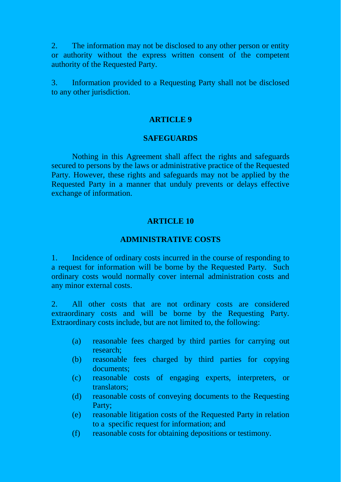2. The information may not be disclosed to any other person or entity or authority without the express written consent of the competent authority of the Requested Party.

3. Information provided to a Requesting Party shall not be disclosed to any other jurisdiction.

#### **ARTICLE 9**

#### **SAFEGUARDS**

Nothing in this Agreement shall affect the rights and safeguards secured to persons by the laws or administrative practice of the Requested Party. However, these rights and safeguards may not be applied by the Requested Party in a manner that unduly prevents or delays effective exchange of information.

## **ARTICLE 10**

#### **ADMINISTRATIVE COSTS**

1. Incidence of ordinary costs incurred in the course of responding to a request for information will be borne by the Requested Party. Such ordinary costs would normally cover internal administration costs and any minor external costs.

2. All other costs that are not ordinary costs are considered extraordinary costs and will be borne by the Requesting Party. Extraordinary costs include, but are not limited to, the following:

- (a) reasonable fees charged by third parties for carrying out research;
- (b) reasonable fees charged by third parties for copying documents;
- (c) reasonable costs of engaging experts, interpreters, or translators;
- (d) reasonable costs of conveying documents to the Requesting Party;
- (e) reasonable litigation costs of the Requested Party in relation to a specific request for information; and
- (f) reasonable costs for obtaining depositions or testimony.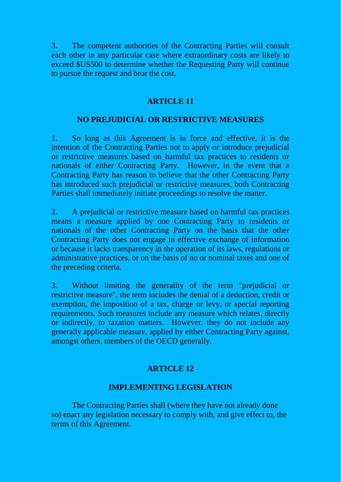3. The competent authorities of the Contracting Parties will consult each other in any particular case where extraordinary costs are likely to exceed \$US500 to determine whether the Requesting Party will continue to pursue the request and bear the cost.

# **ARTICLE 11**

## **NO PREJUDICIAL OR RESTRICTIVE MEASURES**

1. So long as this Agreement is in force and effective, it is the intention of the Contracting Parties not to apply or introduce prejudicial or restrictive measures based on harmful tax practices to residents or nationals of either Contracting Party. However, in the event that a Contracting Party has reason to believe that the other Contracting Party has introduced such prejudicial or restrictive measures, both Contracting Parties shall immediately initiate proceedings to resolve the matter.

2. A prejudicial or restrictive measure based on harmful tax practices means a measure applied by one Contracting Party to residents or nationals of the other Contracting Party on the basis that the other Contracting Party does not engage in effective exchange of information or because it lacks transparency in the operation of its laws, regulations or administrative practices, or on the basis of no or nominal taxes and one of the preceding criteria.

3. Without limiting the generality of the term "prejudicial or restrictive measure", the term includes the denial of a deduction, credit or exemption, the imposition of a tax, charge or levy, or special reporting requirements. Such measures include any measure which relates, directly or indirectly, to taxation matters. However, they do not include any generally applicable measure, applied by either Contracting Party against, amongst others, members of the OECD generally.

## **ARTICLE 12**

## **IMPLEMENTING LEGISLATION**

The Contracting Parties shall (where they have not already done so) enact any legislation necessary to comply with, and give effect to, the terms of this Agreement.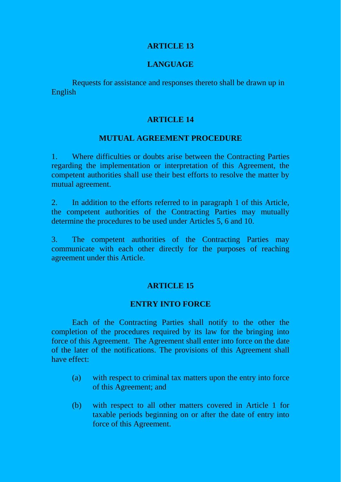#### **LANGUAGE**

Requests for assistance and responses thereto shall be drawn up in English

#### **ARTICLE 14**

#### **MUTUAL AGREEMENT PROCEDURE**

1. Where difficulties or doubts arise between the Contracting Parties regarding the implementation or interpretation of this Agreement, the competent authorities shall use their best efforts to resolve the matter by mutual agreement.

2. In addition to the efforts referred to in paragraph 1 of this Article, the competent authorities of the Contracting Parties may mutually determine the procedures to be used under Articles 5, 6 and 10.

3. The competent authorities of the Contracting Parties may communicate with each other directly for the purposes of reaching agreement under this Article.

## **ARTICLE 15**

#### **ENTRY INTO FORCE**

Each of the Contracting Parties shall notify to the other the completion of the procedures required by its law for the bringing into force of this Agreement. The Agreement shall enter into force on the date of the later of the notifications. The provisions of this Agreement shall have effect:

- (a) with respect to criminal tax matters upon the entry into force of this Agreement; and
- (b) with respect to all other matters covered in Article 1 for taxable periods beginning on or after the date of entry into force of this Agreement.